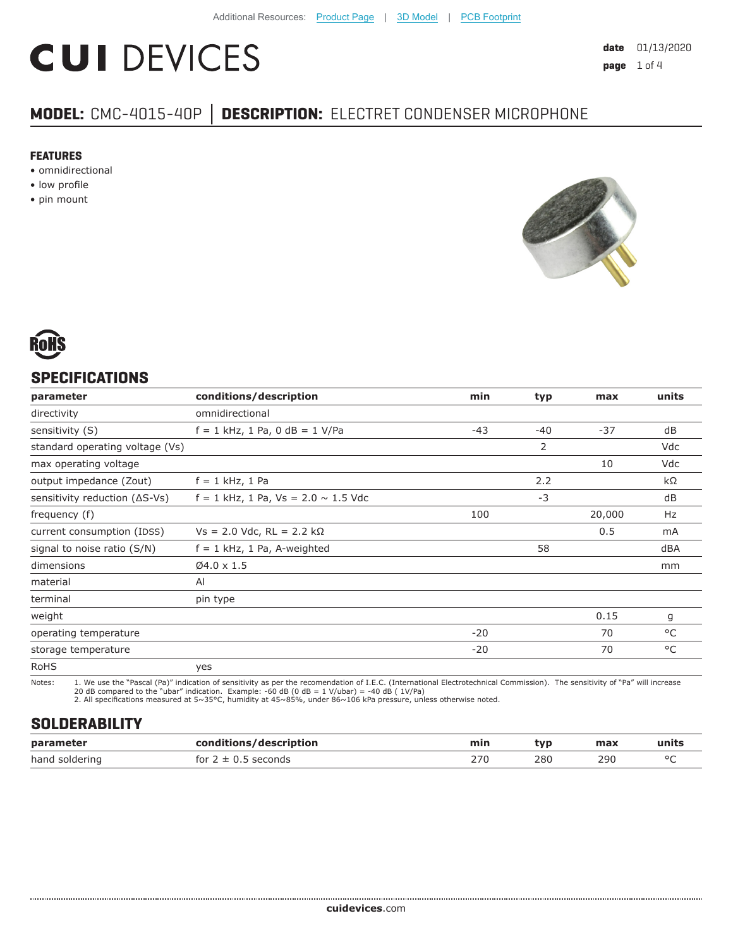# **CUI DEVICES**

## **MODEL:** CMC-4015-40P **│ DESCRIPTION:** ELECTRET CONDENSER MICROPHONE

#### **FEATURES**

- omnidirectional
- low profile
- pin mount





#### **SPECIFICATIONS**

| parameter                               | conditions/description                     | min   | typ   | max    | units |
|-----------------------------------------|--------------------------------------------|-------|-------|--------|-------|
| directivity                             | omnidirectional                            |       |       |        |       |
| sensitivity (S)                         | $f = 1$ kHz, 1 Pa, 0 dB = 1 V/Pa           | $-43$ | $-40$ | $-37$  | dB    |
| standard operating voltage (Vs)         |                                            |       | 2     |        | Vdc   |
| max operating voltage                   |                                            |       |       | 10     | Vdc   |
| output impedance (Zout)                 | $f = 1$ kHz, 1 Pa                          |       | 2.2   |        | kΩ    |
| sensitivity reduction $( \Delta S$ -Vs) | $f = 1$ kHz, 1 Pa, Vs = 2.0 $\sim$ 1.5 Vdc |       | $-3$  |        | dB    |
| frequency (f)                           |                                            | 100   |       | 20,000 | Hz    |
| current consumption (IDSS)              | $Vs = 2.0$ Vdc, RL = 2.2 kΩ                |       |       | 0.5    | mA    |
| signal to noise ratio (S/N)             | $f = 1$ kHz, 1 Pa, A-weighted              |       | 58    |        | dBA   |
| dimensions                              | $Ø4.0 \times 1.5$                          |       |       |        | mm    |
| material                                | AI                                         |       |       |        |       |
| terminal                                | pin type                                   |       |       |        |       |
| weight                                  |                                            |       |       | 0.15   | g     |
| operating temperature                   |                                            | $-20$ |       | 70     | °C    |
| storage temperature                     |                                            | $-20$ |       | 70     | °C    |
| <b>RoHS</b>                             | yes                                        |       |       |        |       |

Notes: 1. We use the "Pascal (Pa)" indication of sensitivity as per the recomendation of I.E.C. (International Electrotechnical Commission). The sensitivity of "Pa" will increase

20 dB compared to the "ubar" indication. Example: -60 dB (0 dB = 1 V/ubar) = -40 dB ( 1V/Pa) 2. All specifications measured at 5~35°C, humidity at 45~85%, under 86~106 kPa pressure, unless otherwise noted.

#### **SOLDERABILITY**

| parameter      | conditions/description                  | min | tvp | max | units  |
|----------------|-----------------------------------------|-----|-----|-----|--------|
| hand soldering | <sup>-</sup> seconds<br>for $2 \pm 0.5$ | 27C | 280 | 290 | $\sim$ |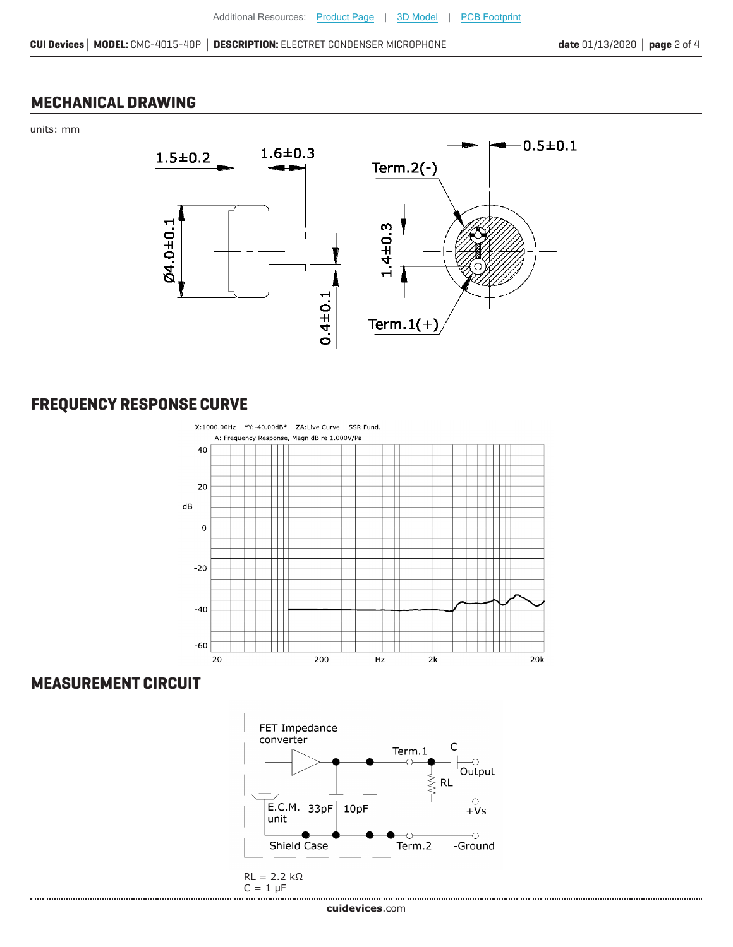#### **MECHANICAL DRAWING**

units: mm



### **FREQUENCY RESPONSE CURVE**



#### **MEASUREMENT CIRCUIT**

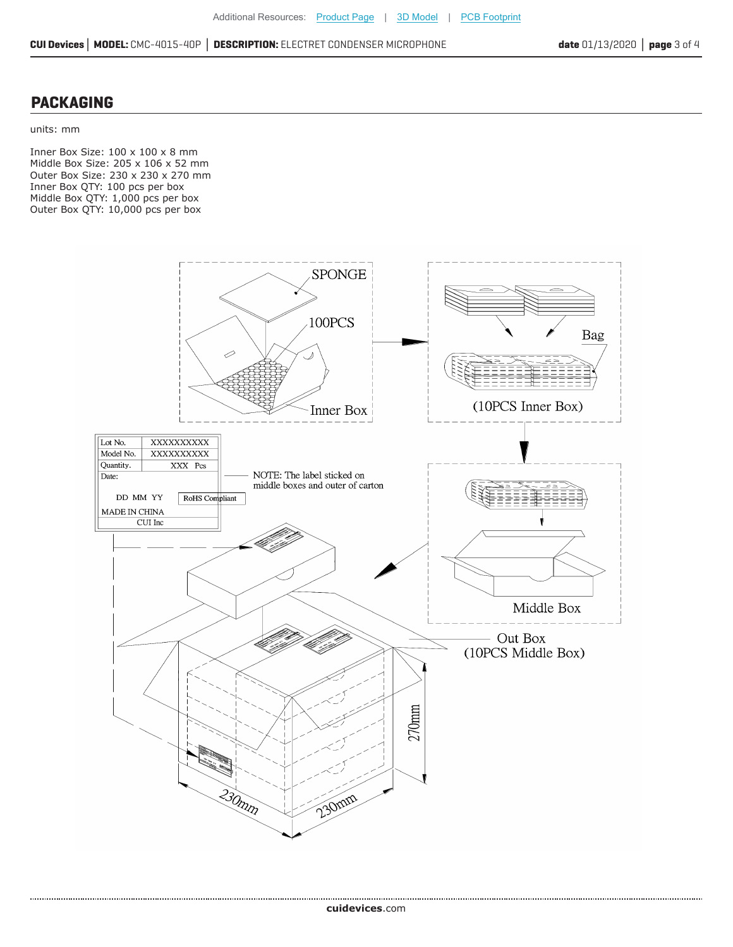**CUI Devices│ MODEL:** CMC-4015-40P **│ DESCRIPTION:** ELECTRET CONDENSER MICROPHONE **date** 01/13/2020 **│ page** 3 of 4

#### **PACKAGING**

.....................................

units: mm

Inner Box Size: 100 x 100 x 8 mm Middle Box Size: 205 x 106 x 52 mm Outer Box Size: 230 x 230 x 270 mm Inner Box QTY: 100 pcs per box Middle Box QTY: 1,000 pcs per box Outer Box QTY: 10,000 pcs per box